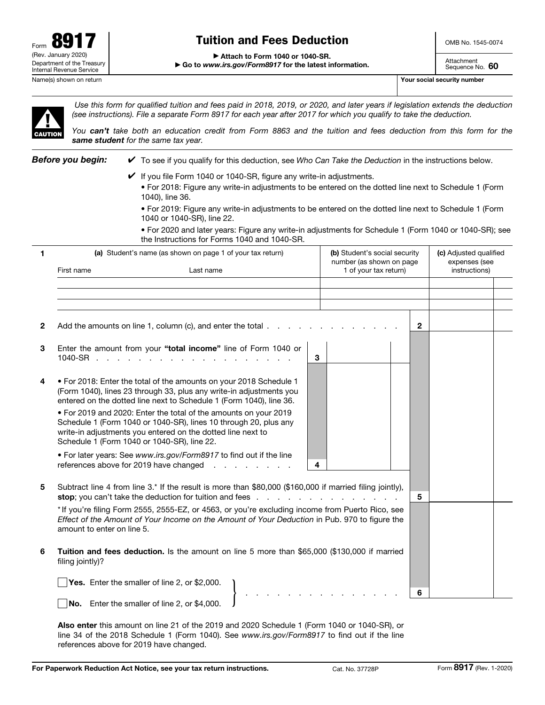

# Tuition and Fees Deduction

▶ Attach to Form 1040 or 1040-SR.

Attachment Sequence No. 60

▶ Go to *www.irs.gov/Form8917* for the latest information.



*Use this form for qualified tuition and fees paid in 2018, 2019, or 2020, and later years if legislation extends the deduction (see instructions). File a separate Form 8917 for each year after 2017 for which you qualify to take the deduction.* 

*You can't take both an education credit from Form 8863 and the tuition and fees deduction from this form for the same student for the same tax year.*

*Before you begin:* ✔ To see if you qualify for this deduction, see *Who Can Take the Deduction* in the instructions below.

- If you file Form 1040 or 1040-SR, figure any write-in adjustments.
	- For 2018: Figure any write-in adjustments to be entered on the dotted line next to Schedule 1 (Form 1040), line 36.

• For 2019: Figure any write-in adjustments to be entered on the dotted line next to Schedule 1 (Form 1040 or 1040-SR), line 22.

• For 2020 and later years: Figure any write-in adjustments for Schedule 1 (Form 1040 or 1040-SR); see the Instructions for Forms 1040 and 1040-SR.

| 1            | (a) Student's name (as shown on page 1 of your tax return)                                                                                                                                                                      |                                                                                                                                                                                                                  | (b) Student's social security<br>number (as shown on page |                       |              | (c) Adjusted qualified<br>expenses (see |  |
|--------------|---------------------------------------------------------------------------------------------------------------------------------------------------------------------------------------------------------------------------------|------------------------------------------------------------------------------------------------------------------------------------------------------------------------------------------------------------------|-----------------------------------------------------------|-----------------------|--------------|-----------------------------------------|--|
|              | First name                                                                                                                                                                                                                      | Last name                                                                                                                                                                                                        |                                                           | 1 of your tax return) |              | instructions)                           |  |
| $\mathbf{2}$ |                                                                                                                                                                                                                                 | Add the amounts on line 1, column (c), and enter the total $\ldots$                                                                                                                                              |                                                           |                       | $\mathbf{2}$ |                                         |  |
| 3            | 1040-SR $\cdots$ $\cdots$ $\cdots$                                                                                                                                                                                              | Enter the amount from your "total income" line of Form 1040 or                                                                                                                                                   | 3                                                         |                       |              |                                         |  |
| 4            |                                                                                                                                                                                                                                 | . For 2018: Enter the total of the amounts on your 2018 Schedule 1<br>(Form 1040), lines 23 through 33, plus any write-in adjustments you<br>entered on the dotted line next to Schedule 1 (Form 1040), line 36. |                                                           |                       |              |                                         |  |
|              | Schedule 1 (Form 1040 or 1040-SR), line 22.                                                                                                                                                                                     | . For 2019 and 2020: Enter the total of the amounts on your 2019<br>Schedule 1 (Form 1040 or 1040-SR), lines 10 through 20, plus any<br>write-in adjustments you entered on the dotted line next to              |                                                           |                       |              |                                         |  |
|              |                                                                                                                                                                                                                                 | . For later years: See www.irs.gov/Form8917 to find out if the line<br>references above for 2019 have changed                                                                                                    | 4                                                         |                       |              |                                         |  |
| 5            |                                                                                                                                                                                                                                 | Subtract line 4 from line 3.* If the result is more than \$80,000 (\$160,000 if married filing jointly),<br>stop; you can't take the deduction for tuition and fees.                                             |                                                           |                       | 5            |                                         |  |
|              | * If you're filing Form 2555, 2555-EZ, or 4563, or you're excluding income from Puerto Rico, see<br>Effect of the Amount of Your Income on the Amount of Your Deduction in Pub. 970 to figure the<br>amount to enter on line 5. |                                                                                                                                                                                                                  |                                                           |                       |              |                                         |  |
| 6            | Tuition and fees deduction. Is the amount on line 5 more than \$65,000 (\$130,000 if married<br>filing jointly)?                                                                                                                |                                                                                                                                                                                                                  |                                                           |                       |              |                                         |  |
|              |                                                                                                                                                                                                                                 | Yes. Enter the smaller of line 2, or \$2,000.<br>No. Enter the smaller of line 2, or \$4,000.                                                                                                                    |                                                           |                       | 6            |                                         |  |

Also enter this amount on line 21 of the 2019 and 2020 Schedule 1 (Form 1040 or 1040-SR), or line 34 of the 2018 Schedule 1 (Form 1040). See *www.irs.gov/Form8917* to find out if the line references above for 2019 have changed.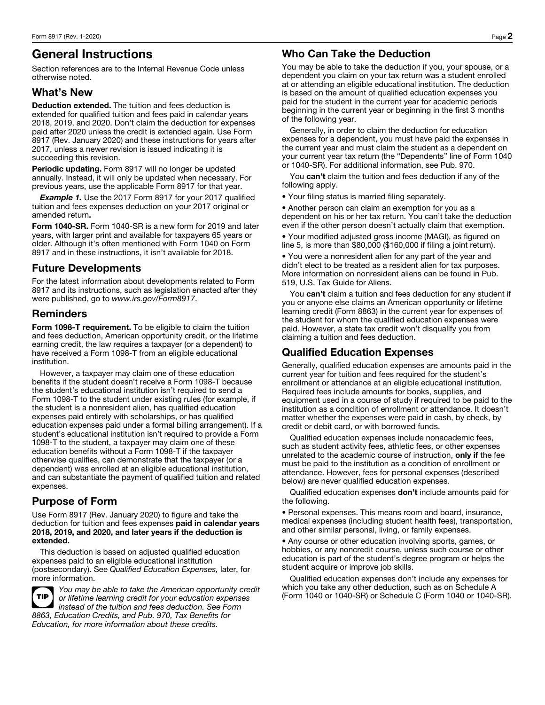# General Instructions

Section references are to the Internal Revenue Code unless otherwise noted.

## What's New

Deduction extended. The tuition and fees deduction is extended for qualified tuition and fees paid in calendar years 2018, 2019, and 2020. Don't claim the deduction for expenses paid after 2020 unless the credit is extended again. Use Form 8917 (Rev. January 2020) and these instructions for years after 2017, unless a newer revision is issued indicating it is succeeding this revision.

Periodic updating. Form 8917 will no longer be updated annually. Instead, it will only be updated when necessary. For previous years, use the applicable Form 8917 for that year.

**Example 1.** Use the 2017 Form 8917 for your 2017 qualified tuition and fees expenses deduction on your 2017 original or amended return.

Form 1040-SR. Form 1040-SR is a new form for 2019 and later years, with larger print and available for taxpayers 65 years or older. Although it's often mentioned with Form 1040 on Form 8917 and in these instructions, it isn't available for 2018.

## Future Developments

For the latest information about developments related to Form 8917 and its instructions, such as legislation enacted after they were published, go to *www.irs.gov/Form8917*.

## Reminders

Form 1098-T requirement. To be eligible to claim the tuition and fees deduction, American opportunity credit, or the lifetime earning credit, the law requires a taxpayer (or a dependent) to have received a Form 1098-T from an eligible educational institution.

However, a taxpayer may claim one of these education benefits if the student doesn't receive a Form 1098-T because the student's educational institution isn't required to send a Form 1098-T to the student under existing rules (for example, if the student is a nonresident alien, has qualified education expenses paid entirely with scholarships, or has qualified education expenses paid under a formal billing arrangement). If a student's educational institution isn't required to provide a Form 1098-T to the student, a taxpayer may claim one of these education benefits without a Form 1098-T if the taxpayer otherwise qualifies, can demonstrate that the taxpayer (or a dependent) was enrolled at an eligible educational institution, and can substantiate the payment of qualified tuition and related expenses.

# Purpose of Form

Use Form 8917 (Rev. January 2020) to figure and take the deduction for tuition and fees expenses paid in calendar years 2018, 2019, and 2020, and later years if the deduction is extended.

This deduction is based on adjusted qualified education expenses paid to an eligible educational institution (postsecondary). See *Qualified Education Expenses,* later, for more information.



*You may be able to take the American opportunity credit or lifetime learning credit for your education expenses instead of the tuition and fees deduction. See Form 8863, Education Credits, and Pub. 970, Tax Benefits for Education, for more information about these credits.*

# Who Can Take the Deduction

You may be able to take the deduction if you, your spouse, or a dependent you claim on your tax return was a student enrolled at or attending an eligible educational institution. The deduction is based on the amount of qualified education expenses you paid for the student in the current year for academic periods beginning in the current year or beginning in the first 3 months of the following year.

Generally, in order to claim the deduction for education expenses for a dependent, you must have paid the expenses in the current year and must claim the student as a dependent on your current year tax return (the "Dependents" line of Form 1040 or 1040-SR). For additional information, see Pub. 970.

You can't claim the tuition and fees deduction if any of the following apply.

• Your filing status is married filing separately.

• Another person can claim an exemption for you as a dependent on his or her tax return. You can't take the deduction even if the other person doesn't actually claim that exemption.

• Your modified adjusted gross income (MAGI), as figured on line 5, is more than \$80,000 (\$160,000 if filing a joint return).

• You were a nonresident alien for any part of the year and didn't elect to be treated as a resident alien for tax purposes. More information on nonresident aliens can be found in Pub. 519, U.S. Tax Guide for Aliens.

You can't claim a tuition and fees deduction for any student if you or anyone else claims an American opportunity or lifetime learning credit (Form 8863) in the current year for expenses of the student for whom the qualified education expenses were paid. However, a state tax credit won't disqualify you from claiming a tuition and fees deduction.

## Qualified Education Expenses

Generally, qualified education expenses are amounts paid in the current year for tuition and fees required for the student's enrollment or attendance at an eligible educational institution. Required fees include amounts for books, supplies, and equipment used in a course of study if required to be paid to the institution as a condition of enrollment or attendance. It doesn't matter whether the expenses were paid in cash, by check, by credit or debit card, or with borrowed funds.

Qualified education expenses include nonacademic fees, such as student activity fees, athletic fees, or other expenses unrelated to the academic course of instruction, only if the fee must be paid to the institution as a condition of enrollment or attendance. However, fees for personal expenses (described below) are never qualified education expenses.

Qualified education expenses **don't** include amounts paid for the following.

• Personal expenses. This means room and board, insurance, medical expenses (including student health fees), transportation, and other similar personal, living, or family expenses.

• Any course or other education involving sports, games, or hobbies, or any noncredit course, unless such course or other education is part of the student's degree program or helps the student acquire or improve job skills.

Qualified education expenses don't include any expenses for which you take any other deduction, such as on Schedule A (Form 1040 or 1040-SR) or Schedule C (Form 1040 or 1040-SR).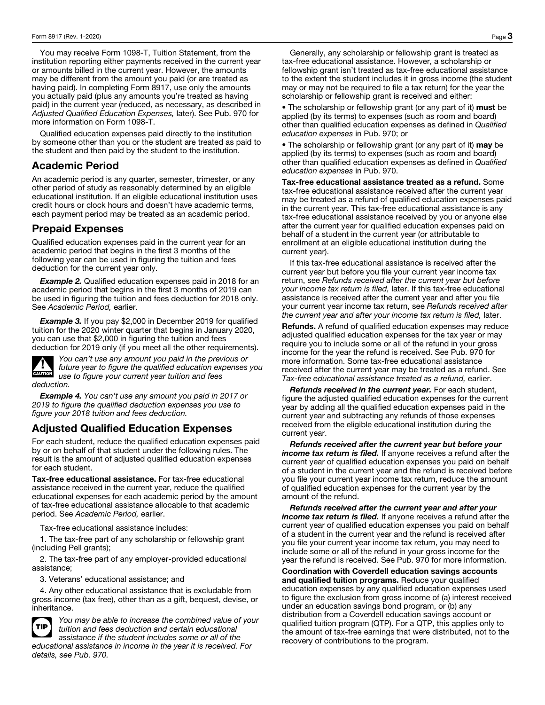You may receive Form 1098-T, Tuition Statement, from the institution reporting either payments received in the current year or amounts billed in the current year. However, the amounts may be different from the amount you paid (or are treated as having paid). In completing Form 8917, use only the amounts you actually paid (plus any amounts you're treated as having paid) in the current year (reduced, as necessary, as described in *Adjusted Qualified Education Expenses,* later). See Pub. 970 for more information on Form 1098-T.

Qualified education expenses paid directly to the institution by someone other than you or the student are treated as paid to the student and then paid by the student to the institution.

#### Academic Period

An academic period is any quarter, semester, trimester, or any other period of study as reasonably determined by an eligible educational institution. If an eligible educational institution uses credit hours or clock hours and doesn't have academic terms, each payment period may be treated as an academic period.

#### Prepaid Expenses

Qualified education expenses paid in the current year for an academic period that begins in the first 3 months of the following year can be used in figuring the tuition and fees deduction for the current year only.

*Example 2.* Qualified education expenses paid in 2018 for an academic period that begins in the first 3 months of 2019 can be used in figuring the tuition and fees deduction for 2018 only. See *Academic Period,* earlier.

*Example 3.* If you pay \$2,000 in December 2019 for qualified tuition for the 2020 winter quarter that begins in January 2020, you can use that \$2,000 in figuring the tuition and fees deduction for 2019 only (if you meet all the other requirements).



You can't use any amount you paid in the previous future year to figure the qualified education expansion of the twist of figure your current year tuition and fees *You can't use any amount you paid in the previous or future year to figure the qualified education expenses you deduction.* 

*Example 4. You can't use any amount you paid in 2017 or 2019 to figure the qualified deduction expenses you use to figure your 2018 tuition and fees deduction.*

## Adjusted Qualified Education Expenses

For each student, reduce the qualified education expenses paid by or on behalf of that student under the following rules. The result is the amount of adjusted qualified education expenses for each student.

Tax-free educational assistance. For tax-free educational assistance received in the current year, reduce the qualified educational expenses for each academic period by the amount of tax-free educational assistance allocable to that academic period. See *Academic Period,* earlier.

Tax-free educational assistance includes:

1. The tax-free part of any scholarship or fellowship grant (including Pell grants);

2. The tax-free part of any employer-provided educational assistance;

3. Veterans' educational assistance; and

4. Any other educational assistance that is excludable from gross income (tax free), other than as a gift, bequest, devise, or inheritance.



**TIP** *You may be able to increase the combined value of your*<br>**TIP** *tuition and fees deduction and certain educational tuition and fees deduction and certain educational assistance if the student includes some or all of the* 

*educational assistance in income in the year it is received. For details, see Pub. 970.*

Generally, any scholarship or fellowship grant is treated as tax-free educational assistance. However, a scholarship or fellowship grant isn't treated as tax-free educational assistance to the extent the student includes it in gross income (the student may or may not be required to file a tax return) for the year the scholarship or fellowship grant is received and either:

• The scholarship or fellowship grant (or any part of it) must be applied (by its terms) to expenses (such as room and board) other than qualified education expenses as defined in *Qualified education expenses* in Pub. 970; or

• The scholarship or fellowship grant (or any part of it) may be applied (by its terms) to expenses (such as room and board) other than qualified education expenses as defined in *Qualified education expenses* in Pub. 970.

Tax-free educational assistance treated as a refund. Some tax-free educational assistance received after the current year may be treated as a refund of qualified education expenses paid in the current year. This tax-free educational assistance is any tax-free educational assistance received by you or anyone else after the current year for qualified education expenses paid on behalf of a student in the current year (or attributable to enrollment at an eligible educational institution during the current year).

If this tax-free educational assistance is received after the current year but before you file your current year income tax return, see *Refunds received after the current year but before your income tax return is filed,* later. If this tax-free educational assistance is received after the current year and after you file your current year income tax return, see *Refunds received after the current year and after your income tax return is filed,* later.

Refunds. A refund of qualified education expenses may reduce adjusted qualified education expenses for the tax year or may require you to include some or all of the refund in your gross income for the year the refund is received. See Pub. 970 for more information. Some tax-free educational assistance received after the current year may be treated as a refund. See *Tax-free educational assistance treated as a refund,* earlier.

*Refunds received in the current year.* For each student, figure the adjusted qualified education expenses for the current year by adding all the qualified education expenses paid in the current year and subtracting any refunds of those expenses received from the eligible educational institution during the current year.

*Refunds received after the current year but before your income tax return is filed.* If anyone receives a refund after the current year of qualified education expenses you paid on behalf of a student in the current year and the refund is received before you file your current year income tax return, reduce the amount of qualified education expenses for the current year by the amount of the refund.

*Refunds received after the current year and after your income tax return is filed.* If anyone receives a refund after the current year of qualified education expenses you paid on behalf of a student in the current year and the refund is received after you file your current year income tax return, you may need to include some or all of the refund in your gross income for the year the refund is received. See Pub. 970 for more information.

Coordination with Coverdell education savings accounts and qualified tuition programs. Reduce your qualified education expenses by any qualified education expenses used to figure the exclusion from gross income of (a) interest received under an education savings bond program, or (b) any distribution from a Coverdell education savings account or qualified tuition program (QTP). For a QTP, this applies only to the amount of tax-free earnings that were distributed, not to the recovery of contributions to the program.